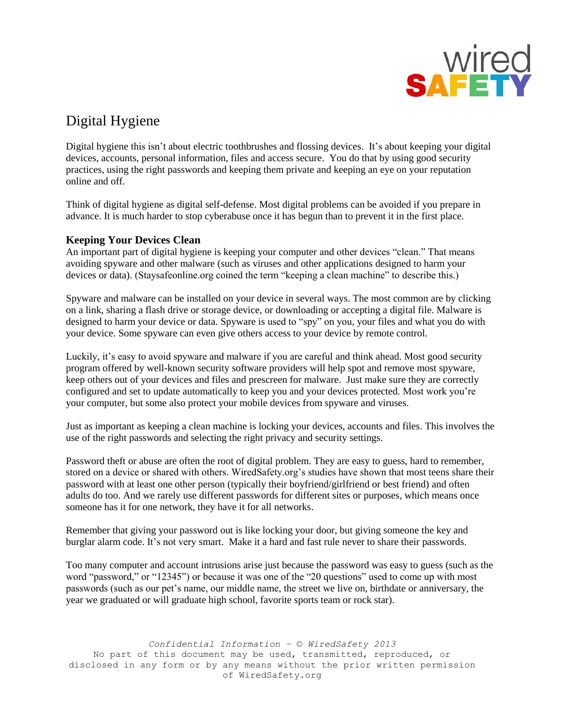

# Digital Hygiene

Digital hygiene this isn't about electric toothbrushes and flossing devices. It's about keeping your digital devices, accounts, personal information, files and access secure. You do that by using good security practices, using the right passwords and keeping them private and keeping an eye on your reputation online and off.

Think of digital hygiene as digital self-defense. Most digital problems can be avoided if you prepare in advance. It is much harder to stop cyberabuse once it has begun than to prevent it in the first place.

## **Keeping Your Devices Clean**

An important part of digital hygiene is keeping your computer and other devices "clean." That means avoiding spyware and other malware (such as viruses and other applications designed to harm your devices or data). (Staysafeonline.org coined the term "keeping a clean machine" to describe this.)

Spyware and malware can be installed on your device in several ways. The most common are by clicking on a link, sharing a flash drive or storage device, or downloading or accepting a digital file. Malware is designed to harm your device or data. Spyware is used to "spy" on you, your files and what you do with your device. Some spyware can even give others access to your device by remote control.

Luckily, it's easy to avoid spyware and malware if you are careful and think ahead. Most good security program offered by well-known security software providers will help spot and remove most spyware, keep others out of your devices and files and prescreen for malware. Just make sure they are correctly configured and set to update automatically to keep you and your devices protected. Most work you're your computer, but some also protect your mobile devices from spyware and viruses.

Just as important as keeping a clean machine is locking your devices, accounts and files. This involves the use of the right passwords and selecting the right privacy and security settings.

Password theft or abuse are often the root of digital problem. They are easy to guess, hard to remember, stored on a device or shared with others. WiredSafety.org's studies have shown that most teens share their password with at least one other person (typically their boyfriend/girlfriend or best friend) and often adults do too. And we rarely use different passwords for different sites or purposes, which means once someone has it for one network, they have it for all networks.

Remember that giving your password out is like locking your door, but giving someone the key and burglar alarm code. It's not very smart. Make it a hard and fast rule never to share their passwords.

Too many computer and account intrusions arise just because the password was easy to guess (such as the word "password," or "12345") or because it was one of the "20 questions" used to come up with most passwords (such as our pet's name, our middle name, the street we live on, birthdate or anniversary, the year we graduated or will graduate high school, favorite sports team or rock star).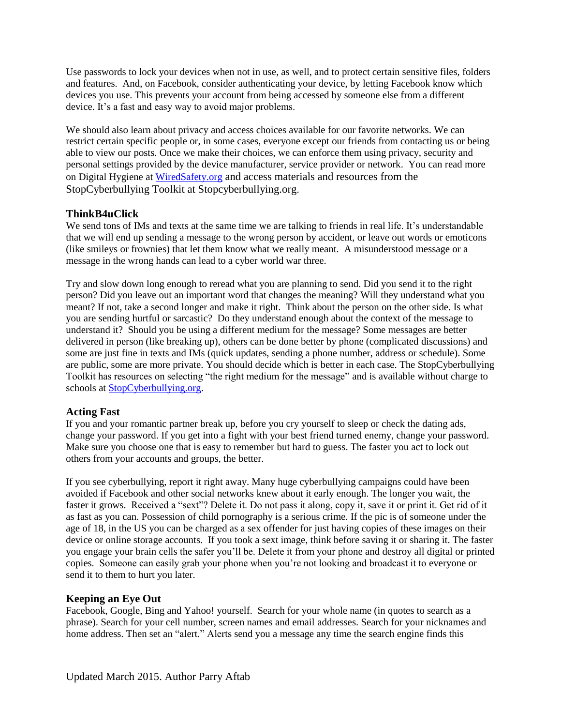Use passwords to lock your devices when not in use, as well, and to protect certain sensitive files, folders and features. And, on Facebook, consider authenticating your device, by letting Facebook know which devices you use. This prevents your account from being accessed by someone else from a different device. It's a fast and easy way to avoid major problems.

We should also learn about privacy and access choices available for our favorite networks. We can restrict certain specific people or, in some cases, everyone except our friends from contacting us or being able to view our posts. Once we make their choices, we can enforce them using privacy, security and personal settings provided by the device manufacturer, service provider or network. You can read more on Digital Hygiene at [WiredSafety.org](https://adults.wiredsafety.org/) and access materials and resources from the StopCyberbullying Toolkit at Stopcyberbullying.org.

### **ThinkB4uClick**

We send tons of IMs and texts at the same time we are talking to friends in real life. It's understandable that we will end up sending a message to the wrong person by accident, or leave out words or emoticons (like smileys or frownies) that let them know what we really meant. A misunderstood message or a message in the wrong hands can lead to a cyber world war three.

Try and slow down long enough to reread what you are planning to send. Did you send it to the right person? Did you leave out an important word that changes the meaning? Will they understand what you meant? If not, take a second longer and make it right. Think about the person on the other side. Is what you are sending hurtful or sarcastic? Do they understand enough about the context of the message to understand it? Should you be using a different medium for the message? Some messages are better delivered in person (like breaking up), others can be done better by phone (complicated discussions) and some are just fine in texts and IMs (quick updates, sending a phone number, address or schedule). Some are public, some are more private. You should decide which is better in each case. The StopCyberbullying Toolkit has resources on selecting "the right medium for the message" and is available without charge to schools at [StopCyberbullying.org.](http://www.stopcyberbullying.org/)

### **Acting Fast**

If you and your romantic partner break up, before you cry yourself to sleep or check the dating ads, change your password. If you get into a fight with your best friend turned enemy, change your password. Make sure you choose one that is easy to remember but hard to guess. The faster you act to lock out others from your accounts and groups, the better.

If you see cyberbullying, report it right away. Many huge cyberbullying campaigns could have been avoided if Facebook and other social networks knew about it early enough. The longer you wait, the faster it grows. Received a "sext"? Delete it. Do not pass it along, copy it, save it or print it. Get rid of it as fast as you can. Possession of child pornography is a serious crime. If the pic is of someone under the age of 18, in the US you can be charged as a sex offender for just having copies of these images on their device or online storage accounts. If you took a sext image, think before saving it or sharing it. The faster you engage your brain cells the safer you'll be. Delete it from your phone and destroy all digital or printed copies. Someone can easily grab your phone when you're not looking and broadcast it to everyone or send it to them to hurt you later.

### **Keeping an Eye Out**

Facebook, Google, Bing and Yahoo! yourself. Search for your whole name (in quotes to search as a phrase). Search for your cell number, screen names and email addresses. Search for your nicknames and home address. Then set an "alert." Alerts send you a message any time the search engine finds this